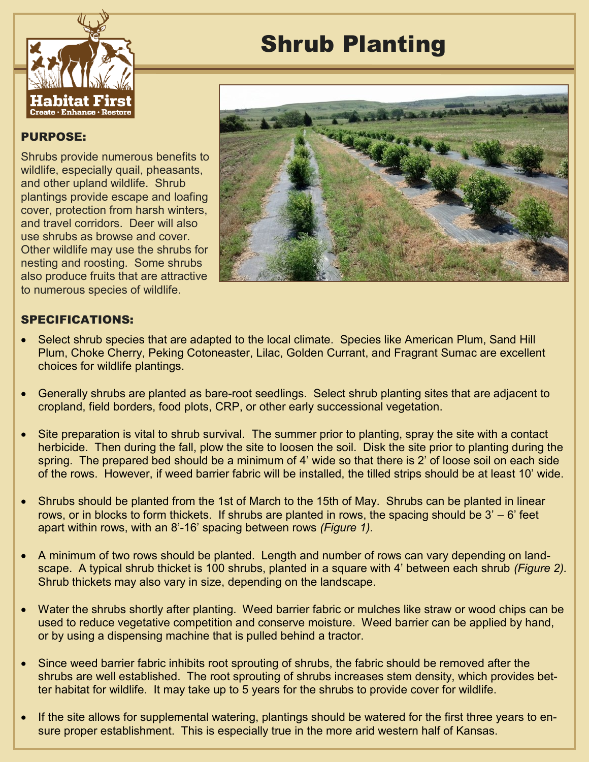

## PURPOSE: Ī

Shrubs provide numerous benefits to wildlife, especially quail, pheasants, and other upland wildlife. Shrub plantings provide escape and loafing cover, protection from harsh winters, and travel corridors. Deer will also use shrubs as browse and cover. Other wildlife may use the shrubs for nesting and roosting. Some shrubs also produce fruits that are attractive to numerous species of wildlife.

## Shrub Planting



## SPECIFICATIONS:

- Select shrub species that are adapted to the local climate. Species like American Plum, Sand Hill Plum, Choke Cherry, Peking Cotoneaster, Lilac, Golden Currant, and Fragrant Sumac are excellent choices for wildlife plantings.
- Generally shrubs are planted as bare-root seedlings. Select shrub planting sites that are adjacent to cropland, field borders, food plots, CRP, or other early successional vegetation.
- Site preparation is vital to shrub survival. The summer prior to planting, spray the site with a contact herbicide. Then during the fall, plow the site to loosen the soil. Disk the site prior to planting during the spring. The prepared bed should be a minimum of 4' wide so that there is 2' of loose soil on each side of the rows. However, if weed barrier fabric will be installed, the tilled strips should be at least 10' wide.
- Shrubs should be planted from the 1st of March to the 15th of May. Shrubs can be planted in linear rows, or in blocks to form thickets. If shrubs are planted in rows, the spacing should be 3' – 6' feet apart within rows, with an 8'-16' spacing between rows *(Figure 1).*
- A minimum of two rows should be planted. Length and number of rows can vary depending on landscape. A typical shrub thicket is 100 shrubs, planted in a square with 4' between each shrub *(Figure 2).*  Shrub thickets may also vary in size, depending on the landscape.
- Water the shrubs shortly after planting. Weed barrier fabric or mulches like straw or wood chips can be used to reduce vegetative competition and conserve moisture. Weed barrier can be applied by hand, or by using a dispensing machine that is pulled behind a tractor.
- Since weed barrier fabric inhibits root sprouting of shrubs, the fabric should be removed after the shrubs are well established. The root sprouting of shrubs increases stem density, which provides better habitat for wildlife. It may take up to 5 years for the shrubs to provide cover for wildlife.
- If the site allows for supplemental watering, plantings should be watered for the first three years to ensure proper establishment. This is especially true in the more arid western half of Kansas.